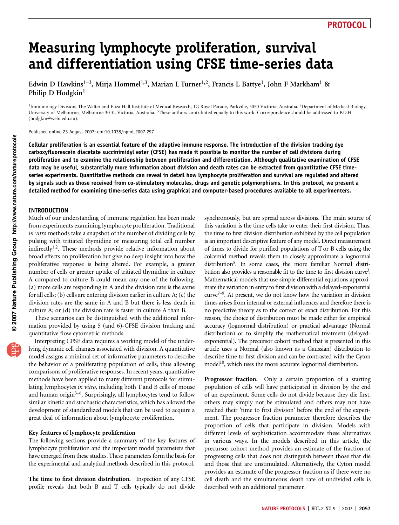# Measuring lymphocyte proliferation, survival and differentiation using CFSE time-series data

Edwin D Hawkins<sup>1-3</sup>, Mirja Hommel<sup>1,3</sup>, Marian L Turner<sup>1,2</sup>, Francis L Battye<sup>1</sup>, John F Markham<sup>1</sup> & Philip D Hodgkin<sup>1</sup>

<sup>1</sup>Immunology Division, The Walter and Eliza Hall Institute of Medical Research, 1G Royal Parade, Parkville, 3050 Victoria, Australia. <sup>2</sup>Department of Medical Biology, University of Melbourne, Melbourne 3010, Victoria, Australia. <sup>3</sup>These authors contributed equally to this work. Correspondence should be addressed to P.D.H. (hodgkin@wehi.edu.au).

Published online 23 August 2007; doi:10.1038/nprot.2007.297

Cellular proliferation is an essential feature of the adaptive immune response. The introduction of the division tracking dye carboxyfluorescein diacetate succinimidyl ester (CFSE) has made it possible to monitor the number of cell divisions during proliferation and to examine the relationship between proliferation and differentiation. Although qualitative examination of CFSE data may be useful, substantially more information about division and death rates can be extracted from quantitative CFSE timeseries experiments. Quantitative methods can reveal in detail how lymphocyte proliferation and survival are regulated and altered by signals such as those received from co-stimulatory molecules, drugs and genetic polymorphisms. In this protocol, we present a detailed method for examining time-series data using graphical and computer-based procedures available to all experimenters.

#### INTRODUCTION

Much of our understanding of immune regulation has been made from experiments examining lymphocyte proliferation. Traditional in vitro methods take a snapshot of the number of dividing cells by pulsing with tritiated thymidine or measuring total cell number indirectly<sup>1,2</sup>. These methods provide relative information about broad effects on proliferation but give no deep insight into how the proliferative response is being altered. For example, a greater number of cells or greater uptake of tritiated thymidine in culture A compared to culture B could mean any one of the following: (a) more cells are responding in A and the division rate is the same for all cells; (b) cells are entering division earlier in culture A; (c) the division rates are the same in A and B but there is less death in culture A; or (d) the division rate is faster in culture A than B.

These scenarios can be distinguished with the additional information provided by using 5 (and 6)-CFSE division tracking and quantitative flow cytometric methods.

Interpreting CFSE data requires a working model of the underlying dynamic cell changes associated with division. A quantitative model assigns a minimal set of informative parameters to describe the behavior of a proliferating population of cells, thus allowing comparisons of proliferative responses. In recent years, quantitative methods have been applied to many different protocols for stimulating lymphocytes in vitro, including both T and B cells of mouse and human origin<sup>3–6</sup>. Surprisingly, all lymphocytes tend to follow similar kinetic and stochastic characteristics, which has allowed the development of standardized models that can be used to acquire a great deal of information about lymphocyte proliferation.

#### Key features of lymphocyte proliferation

The following sections provide a summary of the key features of lymphocyte proliferation and the important model parameters that have emerged from these studies. These parameters form the basis for the experimental and analytical methods described in this protocol.

The time to first division distribution. Inspection of any CFSE profile reveals that both B and T cells typically do not divide synchronously, but are spread across divisions. The main source of this variation is the time cells take to enter their first division. Thus, the time to first division distribution exhibited by the cell population is an important descriptive feature of any model. Direct measurement of times to divide for purified populations of T or B cells using the colcemid method reveals them to closely approximate a lognormal distribution<sup>5</sup>. In some cases, the more familiar Normal distribution also provides a reasonable fit to the time to first division curve<sup>3</sup>. Mathematical models that use simple differential equations approximate the variation in entry to first division with a delayed-exponential curve<sup> $7-9$ </sup>. At present, we do not know how the variation in division times arises from internal or external influences and therefore there is no predictive theory as to the correct or exact distribution. For this reason, the choice of distribution must be made either for empirical accuracy (lognormal distribution) or practical advantage (Normal distribution) or to simplify the mathematical treatment (delayedexponential). The precursor cohort method that is presented in this article uses a Normal (also known as a Gaussian) distribution to describe time to first division and can be contrasted with the Cyton  $model<sup>10</sup>$ , which uses the more accurate lognormal distribution.

Progressor fraction. Only a certain proportion of a starting population of cells will have participated in division by the end of an experiment. Some cells do not divide because they die first, others may simply not be stimulated and others may not have reached their 'time to first division' before the end of the experiment. The progressor fraction parameter therefore describes the proportion of cells that participate in division. Models with different levels of sophistication accommodate these alternatives in various ways. In the models described in this article, the precursor cohort method provides an estimate of the fraction of progressing cells that does not distinguish between those that die and those that are unstimulated. Alternatively, the Cyton model provides an estimate of the progressor fraction as if there were no cell death and the simultaneous death rate of undivided cells is described with an additional parameter.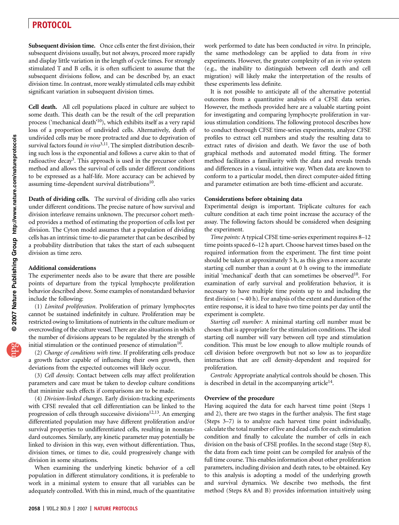Subsequent division time. Once cells enter the first division, their subsequent divisions usually, but not always, proceed more rapidly and display little variation in the length of cycle times. For strongly stimulated T and B cells, it is often sufficient to assume that the subsequent divisions follow, and can be described by, an exact division time. In contrast, more weakly stimulated cells may exhibit significant variation in subsequent division times.

Cell death. All cell populations placed in culture are subject to some death. This death can be the result of the cell preparation process ('mechanical death'10), which exhibits itself as a very rapid loss of a proportion of undivided cells. Alternatively, death of undivided cells may be more protracted and due to deprivation of survival factors found in  $vivo^{3,11}$ . The simplest distribution describing such loss is the exponential and follows a curve akin to that of radioactive decay<sup>3</sup>. This approach is used in the precursor cohort method and allows the survival of cells under different conditions to be expressed as a half-life. More accuracy can be achieved by assuming time-dependent survival distributions<sup>10</sup>.

Death of dividing cells. The survival of dividing cells also varies under different conditions. The precise nature of how survival and division interleave remains unknown. The precursor cohort method provides a method of estimating the proportion of cells lost per division. The Cyton model assumes that a population of dividing cells has an intrinsic time-to-die parameter that can be described by a probability distribution that takes the start of each subsequent division as time zero.

#### Additional considerations

The experimenter needs also to be aware that there are possible points of departure from the typical lymphocyte proliferation behavior described above. Some examples of nonstandard behavior include the following:

(1) Limited proliferation. Proliferation of primary lymphocytes cannot be sustained indefinitely in culture. Proliferation may be restricted owing to limitations of nutrients in the culture medium or overcrowding of the culture vessel. There are also situations in which the number of divisions appears to be regulated by the strength of initial stimulation or the continued presence of stimulation $10$ .

(2) Change of conditions with time. If proliferating cells produce a growth factor capable of influencing their own growth, then deviations from the expected outcomes will likely occur.

(3) Cell density. Contact between cells may affect proliferation parameters and care must be taken to develop culture conditions that minimize such effects if comparisons are to be made.

(4) Division-linked changes. Early division-tracking experiments with CFSE revealed that cell differentiation can be linked to the progression of cells through successive divisions<sup>12,13</sup>. An emerging differentiated population may have different proliferation and/or survival properties to undifferentiated cells, resulting in nonstandard outcomes. Similarly, any kinetic parameter may potentially be linked to division in this way, even without differentiation. Thus, division times, or times to die, could progressively change with division in some situations.

When examining the underlying kinetic behavior of a cell population in different stimulatory conditions, it is preferable to work in a minimal system to ensure that all variables can be adequately controlled. With this in mind, much of the quantitative work performed to date has been conducted in vitro. In principle, the same methodology can be applied to data from in vivo experiments. However, the greater complexity of an *in vivo* system (e.g., the inability to distinguish between cell death and cell migration) will likely make the interpretation of the results of these experiments less definite.

It is not possible to anticipate all of the alternative potential outcomes from a quantitative analysis of a CFSE data series. However, the methods provided here are a valuable starting point for investigating and comparing lymphocyte proliferation in various stimulation conditions. The following protocol describes how to conduct thorough CFSE time-series experiments, analyze CFSE profiles to extract cell numbers and study the resulting data to extract rates of division and death. We favor the use of both graphical methods and automated model fitting. The former method facilitates a familiarity with the data and reveals trends and differences in a visual, intuitive way. When data are known to conform to a particular model, then direct computer-aided fitting and parameter estimation are both time-efficient and accurate.

#### Considerations before obtaining data

Experimental design is important. Triplicate cultures for each culture condition at each time point increase the accuracy of the assay. The following factors should be considered when designing the experiment.

Time points: A typical CFSE time-series experiment requires 8–12 time points spaced 6–12 h apart. Choose harvest times based on the required information from the experiment. The first time point should be taken at approximately 5 h, as this gives a more accurate starting cell number than a count at 0 h owing to the immediate initial 'mechanical' death that can sometimes be observed<sup>10</sup>. For examination of early survival and proliferation behavior, it is necessary to have multiple time points up to and including the first division ( $\sim$  40 h). For analysis of the extent and duration of the entire response, it is ideal to have two time points per day until the experiment is complete.

Starting cell number: A minimal starting cell number must be chosen that is appropriate for the stimulation conditions. The ideal starting cell number will vary between cell type and stimulation condition. This must be low enough to allow multiple rounds of cell division before overgrowth but not so low as to jeopardize interactions that are cell density-dependent and required for proliferation.

Controls: Appropriate analytical controls should be chosen. This is described in detail in the accompanying article<sup>14</sup>.

#### Overview of the procedure

Having acquired the data for each harvest time point (Steps 1 and 2), there are two stages in the further analysis. The first stage (Steps 3–7) is to analyze each harvest time point individually, calculate the total number of live and dead cells for each stimulation condition and finally to calculate the number of cells in each division on the basis of CFSE profiles. In the second stage (Step 8), the data from each time point can be compiled for analysis of the full time course. This enables information about other proliferation parameters, including division and death rates, to be obtained. Key to this analysis is adopting a model of the underlying growth and survival dynamics. We describe two methods, the first method (Steps 8A and B) provides information intuitively using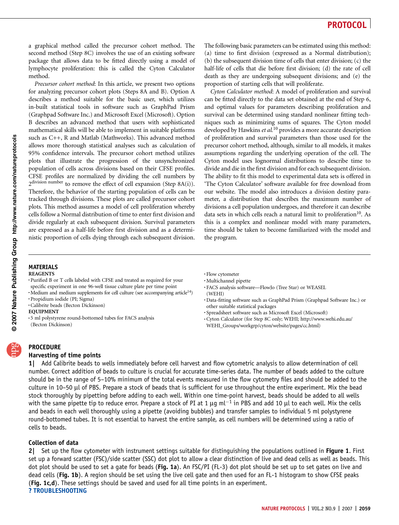a graphical method called the precursor cohort method. The second method (Step 8C) involves the use of an existing software package that allows data to be fitted directly using a model of lymphocyte proliferation: this is called the Cyton Calculator method.

Precursor cohort method: In this article, we present two options for analyzing precursor cohort plots (Steps 8A and B). Option A describes a method suitable for the basic user, which utilizes in-built statistical tools in software such as GraphPad Prism (Graphpad Software Inc.) and Microsoft Excel (Microsoft). Option B describes an advanced method that users with sophisticated mathematical skills will be able to implement in suitable platforms such as C++, R and Matlab (Mathworks). This advanced method allows more thorough statistical analyses such as calculation of 95% confidence intervals. The precursor cohort method utilizes plots that illustrate the progression of the unsynchronized population of cells across divisions based on their CFSE profiles. CFSE profiles are normalized by dividing the cell numbers by 2<sup>division number</sup> to remove the effect of cell expansion (Step 8A(i)). Therefore, the behavior of the starting population of cells can be tracked through divisions. These plots are called precursor cohort plots. This method assumes a model of cell proliferation whereby cells follow a Normal distribution of time to enter first division and divide regularly at each subsequent division. Survival parameters are expressed as a half-life before first division and as a deterministic proportion of cells dying through each subsequent division. The following basic parameters can be estimated using this method: (a) time to first division (expressed as a Normal distribution); (b) the subsequent division time of cells that enter division; (c) the half-life of cells that die before first division; (d) the rate of cell death as they are undergoing subsequent divisions; and (e) the proportion of starting cells that will proliferate.

Cyton Calculator method: A model of proliferation and survival can be fitted directly to the data set obtained at the end of Step 6, and optimal values for parameters describing proliferation and survival can be determined using standard nonlinear fitting techniques such as minimizing sums of squares. The Cyton model developed by Hawkins et al.<sup>10</sup> provides a more accurate description of proliferation and survival parameters than those used for the precursor cohort method, although, similar to all models, it makes assumptions regarding the underlying operation of the cell. The Cyton model uses lognormal distributions to describe time to divide and die in the first division and for each subsequent division. The ability to fit this model to experimental data sets is offered in 'The Cyton Calculator' software available for free download from our website. The model also introduces a division destiny parameter, a distribution that describes the maximum number of divisions a cell population undergoes, and therefore it can describe data sets in which cells reach a natural limit to proliferation<sup>10</sup>. As this is a complex and nonlinear model with many parameters, time should be taken to become familiarized with the model and the program.

#### MATERIALS

- .Purified B or T cells labeled with CFSE and treated as required for your
- specific experiment in one 96-well tissue culture plate per time point
- $\cdot$  Medium and medium supplements for cell culture (see accompanying article<sup>14</sup>) . Propidium iodide (PI; Sigma)
- 
- .Calibrite beads (Becton Dickinson)

#### EQUIPMENT

- .5 ml polystyrene round-bottomed tubes for FACS analysis
- (Becton Dickinson)
- .Flow cytometer
- .Multichannel pipette
- .FACS analysis software—FlowJo (Tree Star) or WEASEL
- (WEHI)
- .Data-fitting software such as GraphPad Prism (Graphpad Software Inc.) or other suitable statistical packages
- .Spreadsheet software such as Microsoft Excel (Microsoft)
- .Cyton Calculator (for Step 8C only; WEHI; http://www.wehi.edu.au/ WEHI\_Groups/workgrp/cyton/website/pages/cc.html)

### PROCEDURE

#### Harvesting of time points

1| Add Calibrite beads to wells immediately before cell harvest and flow cytometric analysis to allow determination of cell number. Correct addition of beads to culture is crucial for accurate time-series data. The number of beads added to the culture should be in the range of 5–10% minimum of the total events measured in the flow cytometry files and should be added to the culture in 10–50 µl of PBS. Prepare a stock of beads that is sufficient for use throughout the entire experiment. Mix the bead stock thoroughly by pipetting before adding to each well. Within one time-point harvest, beads should be added to all wells with the same pipette tip to reduce error. Prepare a stock of PI at 1  $\mu$ g ml<sup>-1</sup> in PBS and add 10  $\mu$ l to each well. Mix the cells and beads in each well thoroughly using a pipette (avoiding bubbles) and transfer samples to individual 5 ml polystyrene round-bottomed tubes. It is not essential to harvest the entire sample, as cell numbers will be determined using a ratio of cells to beads.

#### Collection of data

2| Set up the flow cytometer with instrument settings suitable for distinguishing the populations outlined in Figure 1. First set up a forward scatter (FSC)/side scatter (SSC) dot plot to allow a clear distinction of live and dead cells as well as beads. This dot plot should be used to set a gate for beads (Fig. 1a). An FSC/PI (FL-3) dot plot should be set up to set gates on live and dead cells (Fig. 1b). A region should be set using the live cell gate and then used for an FL-1 histogram to show CFSE peaks (Fig. 1c,d). These settings should be saved and used for all time points in an experiment. ? TROUBLESHOOTING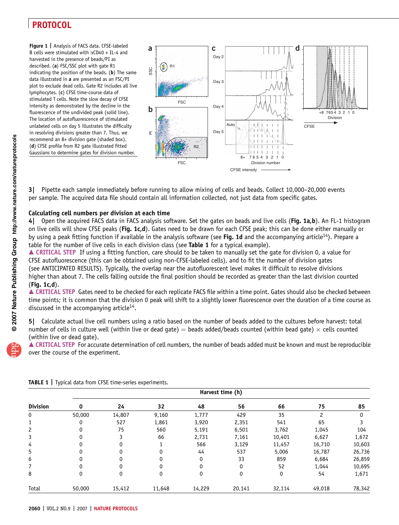Figure 1 | Analysis of FACS data. CFSE-labeled B cells were stimulated with  $\alpha$ CD40 + IL-4 and harvested in the presence of beads/PI as described. (a) FSC/SSC plot with gate R1 indicating the position of the beads.  $(b)$  The same data illustrated in a are presented as an FSC/PI plot to exclude dead cells. Gate R2 includes all live lymphocytes. (c) CFSE time-course data of stimulated T cells. Note the slow decay of CFSE intensity as demonstrated by the decline in the fluorescence of the undivided peak (solid line). The location of autofluorescence of stimulated unlabeled cells on day 5 illustrates the difficulty in resolving divisions greater than 7. Thus, we recommend an 8+ division gate (shaded box). (d) CFSE profile from R2 gate illustrated fitted Gaussians to determine gates for division number.



3| Pipette each sample immediately before running to allow mixing of cells and beads. Collect 10,000–20,000 events per sample. The acquired data file should contain all information collected, not just data from specific gates.

#### Calculating cell numbers per division at each time

4| Open the acquired FACS data in FACS analysis software. Set the gates on beads and live cells (Fig. 1a,b). An FL-1 histogram on live cells will show CFSE peaks (Fig. 1c,d). Gates need to be drawn for each CFSE peak; this can be done either manually or by using a peak fitting function if available in the analysis software (see Fig. 1d and the accompanying article<sup>14</sup>). Prepare a table for the number of live cells in each division class (see **Table 1** for a typical example).

▲ CRITICAL STEP If using a fitting function, care should to be taken to manually set the gate for division 0, a value for CFSE autofluorescence (this can be obtained using non-CFSE-labeled cells), and to fit the number of division gates (see ANTICIPATED RESULTS). Typically, the overlap near the autofluorescent level makes it difficult to resolve divisions higher than about 7. The cells falling outside the final position should be recorded as greater than the last division counted (Fig. 1c,d).

▲ CRITICAL STEP Gates need to be checked for each replicate FACS file within a time point. Gates should also be checked between time points; it is common that the division 0 peak will shift to a slightly lower fluorescence over the duration of a time course as discussed in the accompanying article<sup>14</sup>.

Calculate actual live cell numbers using a ratio based on the number of beads added to the cultures before harvest: total number of cells in culture well (within live or dead gate)  $=$  beads added/beads counted (within bead gate)  $\times$  cells counted (within live or dead gate).

 $\triangle$  CRITICAL STEP For accurate determination of cell numbers, the number of beads added must be known and must be reproducible over the course of the experiment.

|                 | Harvest time (h) |        |          |          |          |        |        |        |
|-----------------|------------------|--------|----------|----------|----------|--------|--------|--------|
| <b>Division</b> | 0                | 24     | 32       | 48       | 56       | 66     | 75     | 85     |
| 0               | 50,000           | 14,807 | 9,160    | 1,777    | 429      | 35     |        |        |
|                 | 0                | 527    | 1,861    | 3,920    | 2,351    | 541    | 65     |        |
| 2               |                  | 75     | 560      | 5,191    | 6,501    | 3,762  | 1,045  | 104    |
| 3               |                  |        | 66       | 2,731    | 7,161    | 10,401 | 6,627  | 1,672  |
| 4               |                  | 0      |          | 566      | 3,129    | 11,457 | 16,710 | 10,603 |
| 5               |                  | 0      |          | 44       | 537      | 5,006  | 16,787 | 26,736 |
| 6               |                  | 0      |          | $\Omega$ | 33       | 859    | 6,684  | 26,859 |
|                 |                  | 0      | $\Omega$ |          | $\Omega$ | 52     | 1,044  | 10,695 |
| 8               | 0                | 0      | 0        |          | 0        | 0      | 54     | 1,671  |
| Total           | 50,000           | 15,412 | 11,648   | 14,229   | 20,141   | 32,114 | 49,018 | 78,342 |

TABLE 1 | Typical data from CFSE time-series experiments.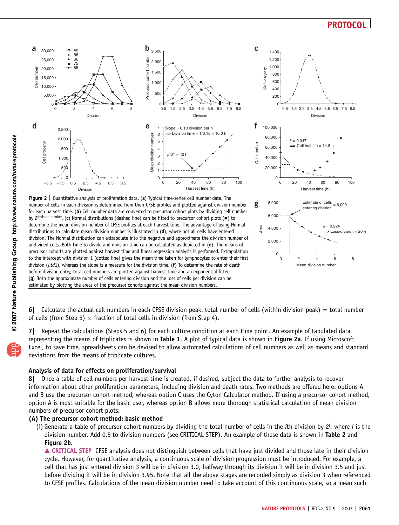

Figure 2 | Quantitative analysis of proliferation data. (a) Typical time-series cell number data. The number of cells in each division is determined from their CFSE profiles and plotted against division number for each harvest time. (b) Cell number data are converted to precursor cohort plots by dividing cell number by  $2^{\text{division number}}$ . (c) Normal distributions (dashed line) can be fitted to precursor cohort plots ( $\bullet$ ) to determine the mean division number of CFSE profiles at each harvest time. The advantage of using Normal distributions to calculate mean division number is illustrated in (d), where not all cells have entered division. The Normal distribution can extrapolate into the negative and approximate the division number of undivided cells. Both time to divide and division time can be calculated as depicted in  $(e)$ . The means of precursor cohorts are plotted against harvest time and linear regression analysis is performed. Extrapolation to the intercept with division 1 (dotted line) gives the mean time taken for lymphocytes to enter their first division ( $\mu t d$ 1), whereas the slope is a measure for the division time. (f) To determine the rate of death before division entry, total cell numbers are plotted against harvest time and an exponential fitted. (g) Both the approximate number of cells entering division and the loss of cells per division can be estimated by plotting the areas of the precursor cohorts against the mean division numbers.

![](_page_4_Figure_3.jpeg)

6| Calculate the actual cell numbers in each CFSE division peak: total number of cells (within division peak) = total number of cells (from Step 5)  $\times$  fraction of total cells in division (from Step 4).

7| Repeat the calculations (Steps 5 and 6) for each culture condition at each time point. An example of tabulated data representing the means of triplicates is shown in Table 1. A plot of typical data is shown in Figure 2a. If using Microscoft Excel, to save time, spreadsheets can be devised to allow automated calculations of cell numbers as well as means and standard deviations from the means of triplicate cultures.

#### Analysis of data for effects on proliferation/survival

8| Once a table of cell numbers per harvest time is created, if desired, subject the data to further analysis to recover information about other proliferation parameters, including division and death rates. Two methods are offered here: options A and B use the precursor cohort method, whereas option C uses the Cyton Calculator method. If using a precursor cohort method, option A is most suitable for the basic user, whereas option B allows more thorough statistical calculation of mean division numbers of precursor cohort plots.

#### (A) The precursor cohort method: basic method

(i) Generate a table of precursor cohort numbers by dividing the total number of cells in the *i*th division by  $2^i$ , where *i* is the division number. Add 0.5 to division numbers (see CRITICAL STEP). An example of these data is shown in Table 2 and Figure 2b.

▲ CRITICAL STEP CFSE analysis does not distinguish between cells that have just divided and those late in their division cycle. However, for quantitative analysis, a continuous scale of division progression must be introduced. For example, a cell that has just entered division 3 will be in division 3.0, halfway through its division it will be in division 3.5 and just before dividing it will be in division 3.95. Note that all the above stages are recorded simply as division 3 when referenced to CFSE profiles. Calculations of the mean division number need to take account of this continuous scale, so a mean such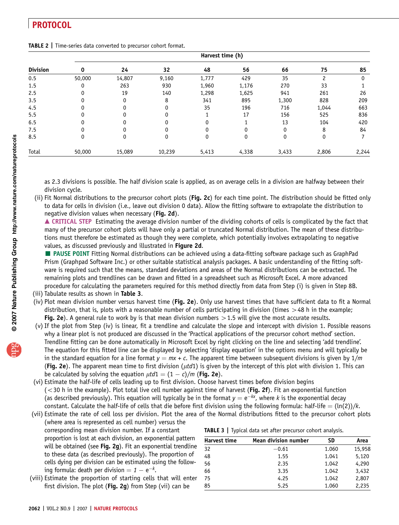| <b>Division</b> | Harvest time (h) |        |        |       |              |       |       |       |
|-----------------|------------------|--------|--------|-------|--------------|-------|-------|-------|
|                 | 0                | 24     | 32     | 48    | 56           | 66    | 75    | 85    |
| 0.5             | 50,000           | 14,807 | 9,160  | 1,777 | 429          | 35    | C     |       |
| 1.5             |                  | 263    | 930    | 1,960 | 1,176        | 270   | 33    |       |
| 2.5             |                  | 19     | 140    | 1,298 | 1,625        | 941   | 261   | 26    |
| 3.5             |                  | 0      | 8      | 341   | 895          | 1,300 | 828   | 209   |
| 4.5             |                  | 0      | 0      | 35    | 196          | 716   | 1,044 | 663   |
| 5.5             |                  |        | 0      |       | 17           | 156   | 525   | 836   |
| 6.5             |                  |        | 0      | 0     |              | 13    | 104   | 420   |
| 7.5             |                  |        | 0      |       |              | 0     | 8     | 84    |
| 8.5             |                  | 0      | 0      | 0     | $\mathbf{0}$ | 0     | 0     |       |
| Total           | 50,000           | 15,089 | 10,239 | 5,413 | 4,338        | 3,433 | 2,806 | 2,244 |

TABLE 2 | Time-series data converted to precursor cohort format.

as 2.3 divisions is possible. The half division scale is applied, as on average cells in a division are halfway between their division cycle.

(ii) Fit Normal distributions to the precursor cohort plots (Fig. 2c) for each time point. The distribution should be fitted only to data for cells in division (i.e., leave out division 0 data). Allow the fitting software to extrapolate the distribution to negative division values when necessary (Fig. 2d).

 $\triangle$  CRITICAL STEP Estimating the average division number of the dividing cohorts of cells is complicated by the fact that many of the precursor cohort plots will have only a partial or truncated Normal distribution. The mean of these distributions must therefore be estimated as though they were complete, which potentially involves extrapolating to negative values, as discussed previously and illustrated in Figure 2d.

*'* PAUSE POINT Fitting Normal distributions can be achieved using a data-fitting software package such as GraphPad Prism (Graphpad Software Inc.) or other suitable statistical analysis packages. A basic understanding of the fitting software is required such that the means, standard deviations and areas of the Normal distributions can be extracted. The remaining plots and trendlines can be drawn and fitted in a spreadsheet such as Microsoft Excel. A more advanced procedure for calculating the parameters required for this method directly from data from Step (i) is given in Step 8B.

#### (iii) Tabulate results as shown in Table 3.

- (iv) Plot mean division number versus harvest time (Fig. 2e). Only use harvest times that have sufficient data to fit a Normal distribution, that is, plots with a reasonable number of cells participating in division (times  $>48$  h in the example; Fig. 2e). A general rule to work by is that mean division numbers  $> 1.5$  will give the most accurate results.
- (v) If the plot from Step (iv) is linear, fit a trendline and calculate the slope and intercept with division 1. Possible reasons why a linear plot is not produced are discussed in the 'Practical applications of the precursor cohort method' section. Trendline fitting can be done automatically in Microsoft Excel by right clicking on the line and selecting 'add trendline'. The equation for this fitted line can be displayed by selecting 'display equation' in the options menu and will typically be in the standard equation for a line format  $y = mx + c$ . The apparent time between subsequent divisions is given by  $1/m$ (Fig. 2e). The apparent mean time to first division ( $\mu$ td1) is given by the intercept of this plot with division 1. This can be calculated by solving the equation  $\mu t d1 = (1 - c)/m$  (Fig. 2e).
- (vi) Estimate the half-life of cells leading up to first division. Choose harvest times before division begins (*o*30 h in the example). Plot total live cell number against time of harvest (Fig. 2f). Fit an exponential function (as described previously). This equation will typically be in the format  $y = e^{-kx}$ , where k is the exponential decay constant. Calculate the half-life of cells that die before first division using the following formula: half-life =  $(\ln(2))/k$ . (vii) Estimate the rate of cell loss per division. Plot the area of the Normal distributions fitted to the precursor cohort plots
- (where area is represented as cell number) versus the corresponding mean division number. If a constant proportion is lost at each division, an exponential pattern will be obtained (see Fig. 2g). Fit an exponential trendline to these data (as described previously). The proportion of cells dying per division can be estimated using the following formula: death per division  $= 1 - \text{e}^{-k}.$
- (viii) Estimate the proportion of starting cells that will enter first division. The plot (Fig. 2g) from Step (vii) can be

| <b>Harvest time</b> | <b>Mean division number</b> | <b>SD</b> | Area   |
|---------------------|-----------------------------|-----------|--------|
| 32                  | $-0.61$                     | 1.060     | 15,958 |
| 48                  | 1.55                        | 1.041     | 5,120  |
| 56                  | 2.35                        | 1.042     | 4,290  |
| 66                  | 3.35                        | 1.042     | 3,432  |
| 75                  | 4.25                        | 1.042     | 2,807  |
| 85                  | 5.25                        | 1.060     | 2,235  |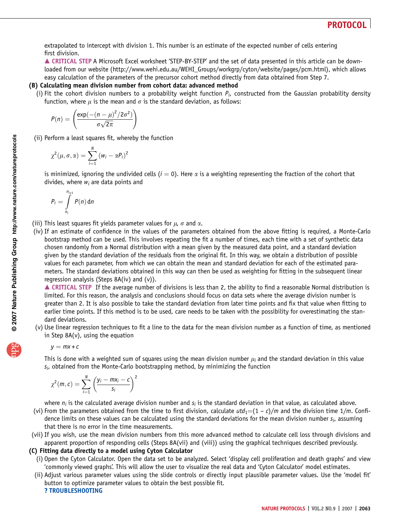extrapolated to intercept with division 1. This number is an estimate of the expected number of cells entering first division.

▲ CRITICAL STEP A Microsoft Excel worksheet 'STEP-BY-STEP' and the set of data presented in this article can be downloaded from our website (http://www.wehi.edu.au/WEHI\_Groups/workgrp/cyton/website/pages/pcm.html), which allows easy calculation of the parameters of the precursor cohort method directly from data obtained from Step 7.

(B) Calculating mean division number from cohort data: advanced method

(i) Fit the cohort division numbers to a probability weight function  $P_i$ , constructed from the Gaussian probability density function, where  $\mu$  is the mean and  $\sigma$  is the standard deviation, as follows:

$$
P(n) = \left(\frac{\exp(-(n-\mu)^2/2\sigma^2)}{\sigma\sqrt{2\pi}}\right)
$$

(ii) Perform a least squares fit, whereby the function

$$
\chi^2(\mu,\sigma,\alpha)=\sum_{i=1}^N(w_i-\alpha P_i)^2
$$

is minimized, ignoring the undivided cells ( $i = 0$ ). Here  $\alpha$  is a weighting representing the fraction of the cohort that divides, where  $w_i$  are data points and

$$
P_i = \int\limits_{n_i}^{n_{i+1}} P(n) \, \mathrm{d} n
$$

(iii) This least squares fit yields parameter values for  $\mu$ ,  $\sigma$  and  $\alpha$ .

(iv) If an estimate of confidence in the values of the parameters obtained from the above fitting is required, a Monte-Carlo bootstrap method can be used. This involves repeating the fit a number of times, each time with a set of synthetic data chosen randomly from a Normal distribution with a mean given by the measured data point, and a standard deviation given by the standard deviation of the residuals from the original fit. In this way, we obtain a distribution of possible values for each parameter, from which we can obtain the mean and standard deviation for each of the estimated parameters. The standard deviations obtained in this way can then be used as weighting for fitting in the subsequent linear regression analysis (Steps 8A(iv) and (v)).

▲ CRITICAL STEP If the average number of divisions is less than 2, the ability to find a reasonable Normal distribution is limited. For this reason, the analysis and conclusions should focus on data sets where the average division number is greater than 2. It is also possible to take the standard deviation from later time points and fix that value when fitting to earlier time points. If this method is to be used, care needs to be taken with the possibility for overestimating the standard deviations.

(v) Use linear regression techniques to fit a line to the data for the mean division number as a function of time, as mentioned in Step 8A(v), using the equation

$$
y = mx + c
$$

This is done with a weighted sum of squares using the mean division number  $\mu_i$  and the standard deviation in this value  $s_i$ , obtained from the Monte-Carlo bootstrapping method, by minimizing the function

$$
\chi^2(m,c)=\sum_{i=1}^N\left(\frac{y_i-mx_i-c}{s_i}\right)^2
$$

where  $n_i$  is the calculated average division number and  $s_i$  is the standard deviation in that value, as calculated above. (vi) From the parameters obtained from the time to first division, calculate utd<sub>1</sub>=(1 – c)/m and the division time 1/m. Confi-

dence limits on these values can be calculated using the standard deviations for the mean division number  $s_i$ , assuming that there is no error in the time measurements.

(vii) If you wish, use the mean division numbers from this more advanced method to calculate cell loss through divisions and apparent proportion of responding cells (Steps 8A(vii) and (viii)) using the graphical techniques described previously.

#### (C) Fitting data directly to a model using Cyton Calculator

- (i) Open the Cyton Calculator. Open the data set to be analyzed. Select 'display cell proliferation and death graphs' and view 'commonly viewed graphs'. This will allow the user to visualize the real data and 'Cyton Calculator' model estimates.
- (ii) Adjust various parameter values using the slide controls or directly input plausible parameter values. Use the 'model fit' button to optimize parameter values to obtain the best possible fit.

**w w//: ptt h**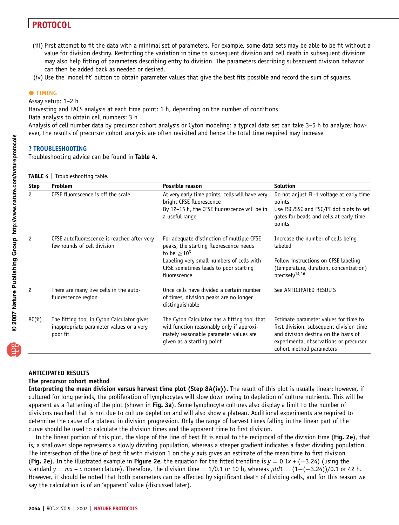- (iii) First attempt to fit the data with a minimal set of parameters. For example, some data sets may be able to be fit without a value for division destiny. Restricting the variation in time to subsequent division and cell death in subsequent divisions may also help fitting of parameters describing entry to division. The parameters describing subsequent division behavior can then be added back as needed or desired.
- (iv) Use the 'model fit' button to obtain parameter values that give the best fits possible and record the sum of squares.

#### **• TIMING**

Assay setup: 1–2 h

Harvesting and FACS analysis at each time point: 1 h, depending on the number of conditions Data analysis to obtain cell numbers: 3 h

Analysis of cell number data by precursor cohort analysis or Cyton modeling: a typical data set can take 3–5 h to analyze; however, the results of precursor cohort analysis are often revisited and hence the total time required may increase

#### ? TROUBLESHOOTING

Troubleshooting advice can be found in Table 4.

TABLE 4 | Troubleshooting table.

| Step                  | <b>Problem</b>                                                                                     | Possible reason                                                                                                                                                  | <b>Solution</b>                                                                                                                                                                                 |
|-----------------------|----------------------------------------------------------------------------------------------------|------------------------------------------------------------------------------------------------------------------------------------------------------------------|-------------------------------------------------------------------------------------------------------------------------------------------------------------------------------------------------|
| $\mathbf{2}^{\prime}$ | CFSE fluorescence is off the scale                                                                 | At very early time points, cells will have very<br>bright CFSE fluorescence<br>By 12-15 h, the CFSE fluorescence will be in<br>a useful range                    | Do not adjust FL-1 voltage at early time<br>points<br>Use FSC/SSC and FSC/PI dot plots to set<br>gates for beads and cells at early time<br>points                                              |
| $\overline{c}$        | CFSE autofluorescence is reached after very<br>few rounds of cell division                         | For adequate distinction of multiple CFSE<br>peaks, the starting fluorescence needs<br>to be $\geq 10^3$                                                         | Increase the number of cells being<br>labeled                                                                                                                                                   |
|                       |                                                                                                    | Labeling very small numbers of cells with<br>CFSE sometimes leads to poor starting<br>fluorescence                                                               | Follow instructions on CFSE labeling<br>(temperature, duration, concentration)<br>precisely <sup>14,16</sup>                                                                                    |
| $\mathcal{P}$         | There are many live cells in the auto-<br>fluorescence region                                      | Once cells have divided a certain number<br>of times, division peaks are no longer<br>distinguishable                                                            | See ANTICIPATED RESULTS                                                                                                                                                                         |
| 8C(ii)                | The fitting tool in Cyton Calculator gives<br>inappropriate parameter values or a very<br>poor fit | The Cyton Calculator has a fitting tool that<br>will function reasonably only if approxi-<br>mately reasonable parameter values are<br>given as a starting point | Estimate parameter values for time to<br>first division, subsequent division time<br>and division destiny on the basis of<br>experimental observations or precursor<br>cohort method parameters |

**puor G gni hsil buP er ut a N 7002**

**@** 2007 Nature Publishing Group http://www.nature.com/natureprotocols **w w//: ptt h**

#### ANTICIPATED RESULTS

#### The precursor cohort method

Interpreting the mean division versus harvest time plot (Step 8A(iv)). The result of this plot is usually linear; however, if cultured for long periods, the proliferation of lymphocytes will slow down owing to depletion of culture nutrients. This will be apparent as a flattening of the plot (shown in Fig. 3a). Some lymphocyte cultures also display a limit to the number of divisions reached that is not due to culture depletion and will also show a plateau. Additional experiments are required to determine the cause of a plateau in division progression. Only the range of harvest times falling in the linear part of the curve should be used to calculate the division times and the apparent time to first division.

In the linear portion of this plot, the slope of the line of best fit is equal to the reciprocal of the division time (Fig. 2e), that is, a shallower slope represents a slowly dividing population, whereas a steeper gradient indicates a faster dividing population. The intersection of the line of best fit with division 1 on the y axis gives an estimate of the mean time to first division (Fig. 2e). In the illustrated example in Figure 2e, the equation for the fitted trendline is  $y = 0.1x + (-3.24)$  (using the standard  $y = mx + c$  nomenclature). Therefore, the division time = 1/0.1 or 10 h, whereas  $\mu td1 = (1 - (-3.24))/0.1$  or 42 h. However, it should be noted that both parameters can be affected by significant death of dividing cells, and for this reason we say the calculation is of an 'apparent' value (discussed later).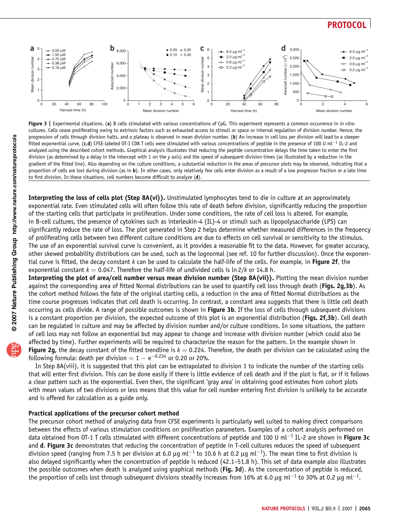![](_page_8_Figure_1.jpeg)

Figure 3 | Experimental situations. (a) B cells stimulated with various concentrations of CpG. This experiment represents a common occurrence in in vitro cultures. Cells cease proliferating owing to extrinsic factors such as exhausted access to stimuli or space or internal regulation of division number. Hence, the progression of cells through division halts, and a plateau is observed in mean division number. (b) An increase in cell loss per division will lead to a steeper fitted exponential curve. (c,d) CFSE-labeled OT-I CD8 T cells were stimulated with various concentrations of peptide in the presence of 100 U ml<sup>-1</sup> IL-2 and analyzed using the described cohort methods. Graphical analysis illustrates that reducing the peptide concentration delays the time taken to enter the first division (as determined by a delay in the intercept with 1 on the y axis) and the speed of subsequent division times (as illustrated by a reduction in the gradient of the fitted line). Also depending on the culture conditions, a substantial reduction in the areas of precursor plots may be observed, indicating that a proportion of cells are lost during division (as in b). In other cases, only relatively few cells enter division as a result of a low progressor fraction or a late time to first division. In these situations, cell numbers become difficult to analyze (d).

Interpreting the loss of cells plot (Step 8A(vi)). Unstimulated lymphocytes tend to die in culture at an approximately exponential rate. Even stimulated cells will often follow this rate of death before division, significantly reducing the proportion of the starting cells that participate in proliferation. Under some conditions, the rate of cell loss is altered. For example, in B-cell cultures, the presence of cytokines such as interleukin-4 (IL)-4 or stimuli such as lipopolysaccharide (LPS) can significantly reduce the rate of loss. The plot generated in Step 2 helps determine whether measured differences in the frequency of proliferating cells between two different culture conditions are due to effects on cell survival or sensitivity to the stimulus. The use of an exponential survival curve is convenient, as it provides a reasonable fit to the data. However, for greater accuracy, other skewed probability distributions can be used, such as the lognormal (see ref. 10 for further discussion). Once the exponential curve is fitted, the decay constant k can be used to calculate the half-life of the cells. For example, in Figure 2f, the exponential constant  $k = 0.047$ . Therefore the half-life of undivided cells is ln 2/k or 14.8 h.

Interpreting the plot of area/cell number versus mean division number (Step 8A(vii)). Plotting the mean division number against the corresponding area of fitted Normal distributions can be used to quantify cell loss through death (Figs. 2g,3b). As the cohort method follows the fate of the original starting cells, a reduction in the area of fitted Normal distributions as the time course progresses indicates that cell death is occurring. In contrast, a constant area suggests that there is little cell death occurring as cells divide. A range of possible outcomes is shown in Figure 3b. If the loss of cells through subsequent divisions is a constant proportion per division, the expected outcome of this plot is an exponential distribution (Figs. 2f,3b). Cell death can be regulated in culture and may be affected by division number and/or culture conditions. In some situations, the pattern of cell loss may not follow an exponential but may appear to change and increase with division number (which could also be affected by time). Further experiments will be required to characterize the reason for the pattern. In the example shown in Figure 2g, the decay constant of the fitted trendline is  $k = 0.224$ . Therefore, the death per division can be calculated using the following formula: death per division  $= 1 - e^{-0.224}$  or 0.20 or 20%.

In Step 8A(viii), it is suggested that this plot can be extrapolated to division 1 to indicate the number of the starting cells that will enter first division. This can be done easily if there is little evidence of cell death and if the plot is flat, or if it follows a clear pattern such as the exponential. Even then, the significant 'gray area' in obtaining good estimates from cohort plots with mean values of two divisions or less means that this value for cell number entering first division is unlikely to be accurate and is offered for calculation as a guide only.

#### Practical applications of the precursor cohort method

The precursor cohort method of analyzing data from CFSE experiments is particularly well suited to making direct comparisons between the effects of various stimulation conditions on proliferation parameters. Examples of a cohort analysis performed on data obtained from OT-1 T cells stimulated with different concentrations of peptide and 100 U ml<sup>-1</sup> IL-2 are shown in Fiqure 3c and d. Figure 3c demonstrates that reducing the concentration of peptide in T-cell cultures reduces the speed of subsequent division speed (ranging from 7.5 h per division at 6.0 µg ml<sup>-1</sup> to 10.6 h at 0.2 µg ml<sup>-1</sup>). The mean time to first division is also delayed significantly when the concentration of peptide is reduced (42.1–51.8 h). This set of data example also illustrates the possible outcomes when death is analyzed using graphical methods (Fig. 3d). As the concentration of peptide is reduced, the proportion of cells lost through subsequent divisions steadily increases from 16% at 6.0 µg ml<sup>-1</sup> to 30% at 0.2 µg ml<sup>-1</sup>.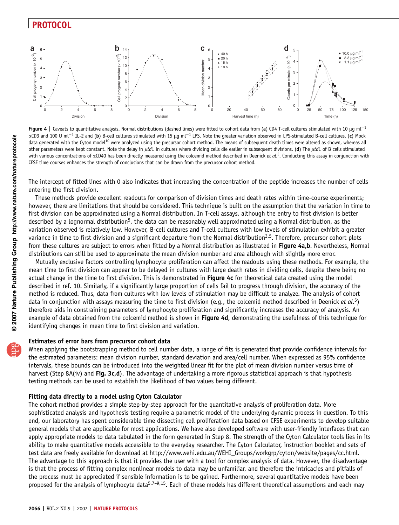![](_page_9_Figure_1.jpeg)

Figure 4 | Caveats to quantitative analysis. Normal distributions (dashed lines) were fitted to cohort data from (a) CD4 T-cell cultures stimulated with 10 µg ml<sup>-1</sup>  $\alpha$ CD3 and 100 U ml<sup>-1</sup> IL-2 and (b) B-cell cultures stimulated with 15 µg ml<sup>-1</sup> LPS. Note the greater variation observed in LPS-stimulated B-cell cultures. (c) Mock data generated with the Cyton model<sup>10</sup> were analyzed using the precursor cohort method. The means of subsequent death times were altered as shown, whereas all other parameters were kept constant. Note the delay in  $\mu t d1$  in cultures where dividing cells die earlier in subsequent divisions. (d) The  $\mu t d1$  of B cells stimulated with various concentrations of  $\alpha$ CD40 has been directly measured using the colcemid method described in Deenick et al.<sup>5</sup>. Conducting this assay in conjunction with CFSE time courses enhances the strength of conclusions that can be drawn from the precursor cohort method.

The intercept of fitted lines with 0 also indicates that increasing the concentration of the peptide increases the number of cells entering the first division.

These methods provide excellent readouts for comparison of division times and death rates within time-course experiments; however, there are limitations that should be considered. This technique is built on the assumption that the variation in time to first division can be approximated using a Normal distribution. In T-cell assays, although the entry to first division is better described by a lognormal distribution<sup>5</sup>, the data can be reasonably well approximated using a Normal distribution, as the variation observed is relatively low. However, B-cell cultures and T-cell cultures with low levels of stimulation exhibit a greater variance in time to first division and a significant departure from the Normal distribution<sup>3,5</sup>. Therefore, precursor cohort plots from these cultures are subject to errors when fitted by a Normal distribution as illustrated in Figure 4a,b. Nevertheless, Normal distributions can still be used to approximate the mean division number and area although with slightly more error.

Mutually exclusive factors controlling lymphocyte proliferation can affect the readouts using these methods. For example, the mean time to first division can appear to be delayed in cultures with large death rates in dividing cells, despite there being no actual change in the time to first division. This is demonstrated in Figure 4c for theoretical data created using the model described in ref. 10. Similarly, if a significantly large proportion of cells fail to progress through division, the accuracy of the method is reduced. Thus, data from cultures with low levels of stimulation may be difficult to analyze. The analysis of cohort data in conjunction with assays measuring the time to first division (e.g., the colcemid method described in Deenick et al.<sup>5</sup>) therefore aids in constraining parameters of lymphocyte proliferation and significantly increases the accuracy of analysis. An example of data obtained from the colcemid method is shown in Figure 4d, demonstrating the usefulness of this technique for identifying changes in mean time to first division and variation.

#### Estimates of error bars from precursor cohort data

When applying the bootstrapping method to cell number data, a range of fits is generated that provide confidence intervals for the estimated parameters: mean division number, standard deviation and area/cell number. When expressed as 95% confidence intervals, these bounds can be introduced into the weighted linear fit for the plot of mean division number versus time of harvest (Step 8A(iv) and Fig. 3c,d). The advantage of undertaking a more rigorous statistical approach is that hypothesis testing methods can be used to establish the likelihood of two values being different.

#### Fitting data directly to a model using Cyton Calculator

The cohort method provides a simple step-by-step approach for the quantitative analysis of proliferation data. More sophisticated analysis and hypothesis testing require a parametric model of the underlying dynamic process in question. To this end, our laboratory has spent considerable time dissecting cell proliferation data based on CFSE experiments to develop suitable general models that are applicable for most applications. We have also developed software with user-friendly interfaces that can apply appropriate models to data tabulated in the form generated in Step 8. The strength of the Cyton Calculator tools lies in its ability to make quantitative models accessible to the everyday researcher. The Cyton Calculator, instruction booklet and sets of test data are freely available for download at http://www.wehi.edu.au/WEHI\_Groups/workgrp/cyton/website/pages/cc.html. The advantage to this approach is that it provides the user with a tool for complex analysis of data. However, the disadvantage is that the process of fitting complex nonlinear models to data may be unfamiliar, and therefore the intricacies and pitfalls of the process must be appreciated if sensible information is to be gained. Furthermore, several quantitative models have been proposed for the analysis of lymphocyte data<sup>5,7–9,15</sup>. Each of these models has different theoretical assumptions and each may